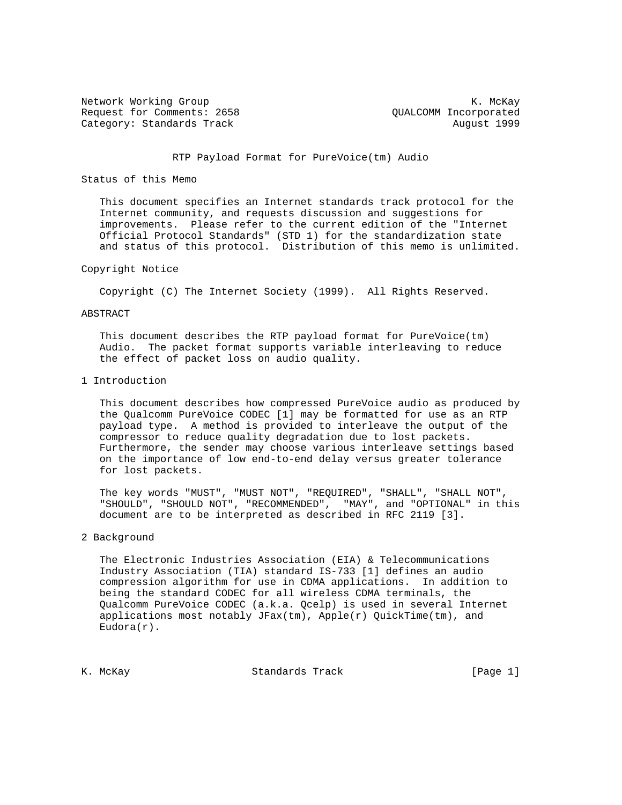Network Working Group Network Working Group Network Alexander Management Alexander Management Alexander Management Alexander Management Alexander Management Alexander Management Alexander Management Alexander Management Al Request for Comments: 2658 QUALCOMM Incorporated Category: Standards Track August 1999

## RTP Payload Format for PureVoice(tm) Audio

## Status of this Memo

 This document specifies an Internet standards track protocol for the Internet community, and requests discussion and suggestions for improvements. Please refer to the current edition of the "Internet Official Protocol Standards" (STD 1) for the standardization state and status of this protocol. Distribution of this memo is unlimited.

## Copyright Notice

Copyright (C) The Internet Society (1999). All Rights Reserved.

### ABSTRACT

 This document describes the RTP payload format for PureVoice(tm) Audio. The packet format supports variable interleaving to reduce the effect of packet loss on audio quality.

## 1 Introduction

 This document describes how compressed PureVoice audio as produced by the Qualcomm PureVoice CODEC [1] may be formatted for use as an RTP payload type. A method is provided to interleave the output of the compressor to reduce quality degradation due to lost packets. Furthermore, the sender may choose various interleave settings based on the importance of low end-to-end delay versus greater tolerance for lost packets.

 The key words "MUST", "MUST NOT", "REQUIRED", "SHALL", "SHALL NOT", "SHOULD", "SHOULD NOT", "RECOMMENDED", "MAY", and "OPTIONAL" in this document are to be interpreted as described in RFC 2119 [3].

## 2 Background

 The Electronic Industries Association (EIA) & Telecommunications Industry Association (TIA) standard IS-733 [1] defines an audio compression algorithm for use in CDMA applications. In addition to being the standard CODEC for all wireless CDMA terminals, the Qualcomm PureVoice CODEC (a.k.a. Qcelp) is used in several Internet applications most notably  $JFax(tm)$ ,  $Apple(r)$  QuickTime(tm), and  $Eudora(r)$ .

K. McKay Standards Track [Page 1]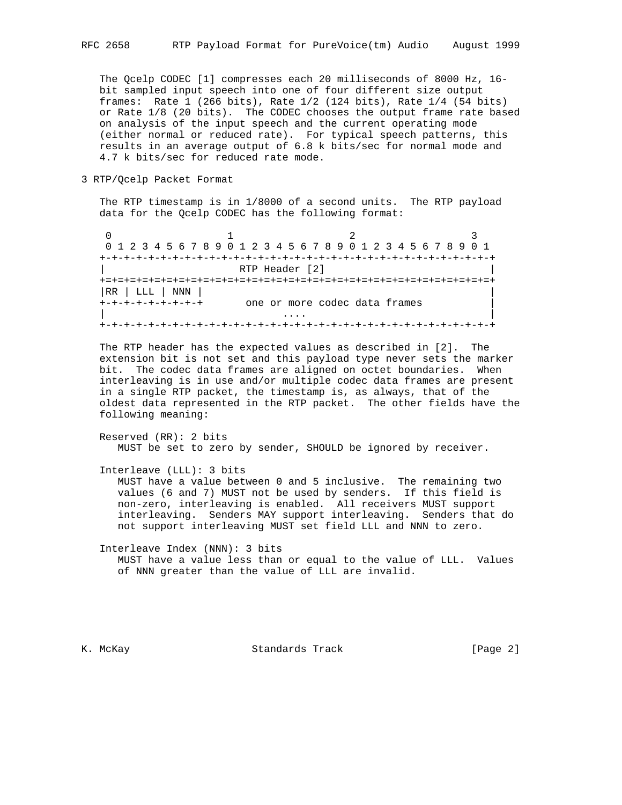The Qcelp CODEC [1] compresses each 20 milliseconds of 8000 Hz, 16 bit sampled input speech into one of four different size output frames: Rate 1 (266 bits), Rate 1/2 (124 bits), Rate 1/4 (54 bits) or Rate 1/8 (20 bits). The CODEC chooses the output frame rate based on analysis of the input speech and the current operating mode (either normal or reduced rate). For typical speech patterns, this results in an average output of 6.8 k bits/sec for normal mode and 4.7 k bits/sec for reduced rate mode.

3 RTP/Qcelp Packet Format

 The RTP timestamp is in 1/8000 of a second units. The RTP payload data for the Qcelp CODEC has the following format:

0  $1$  2 3 0 1 2 3 4 5 6 7 8 9 0 1 2 3 4 5 6 7 8 9 0 1 2 3 4 5 6 7 8 9 0 1 +-+-+-+-+-+-+-+-+-+-+-+-+-+-+-+-+-+-+-+-+-+-+-+-+-+-+-+-+-+-+-+-+ | RTP Header [2] | +=+=+=+=+=+=+=+=+=+=+=+=+=+=+=+=+=+=+=+=+=+=+=+=+=+=+=+=+=+=+=+=+ |RR | LLL | NNN | | +-+-+-+-+-+-+-+-+ one or more codec data frames | | .... | ... | ... | ... | ... | ... | ... | ... | ... | ... | ... | ... | ... | ... | ... | ... | ... | ... | +-+-+-+-+-+-+-+-+-+-+-+-+-+-+-+-+-+-+-+-+-+-+-+-+-+-+-+-+-+-+-+-+

 The RTP header has the expected values as described in [2]. The extension bit is not set and this payload type never sets the marker bit. The codec data frames are aligned on octet boundaries. When interleaving is in use and/or multiple codec data frames are present in a single RTP packet, the timestamp is, as always, that of the oldest data represented in the RTP packet. The other fields have the following meaning:

 Reserved (RR): 2 bits MUST be set to zero by sender, SHOULD be ignored by receiver.

Interleave (LLL): 3 bits

 MUST have a value between 0 and 5 inclusive. The remaining two values (6 and 7) MUST not be used by senders. If this field is non-zero, interleaving is enabled. All receivers MUST support interleaving. Senders MAY support interleaving. Senders that do not support interleaving MUST set field LLL and NNN to zero.

 Interleave Index (NNN): 3 bits MUST have a value less than or equal to the value of LLL. Values of NNN greater than the value of LLL are invalid.

K. McKay **Standards Track** [Page 2]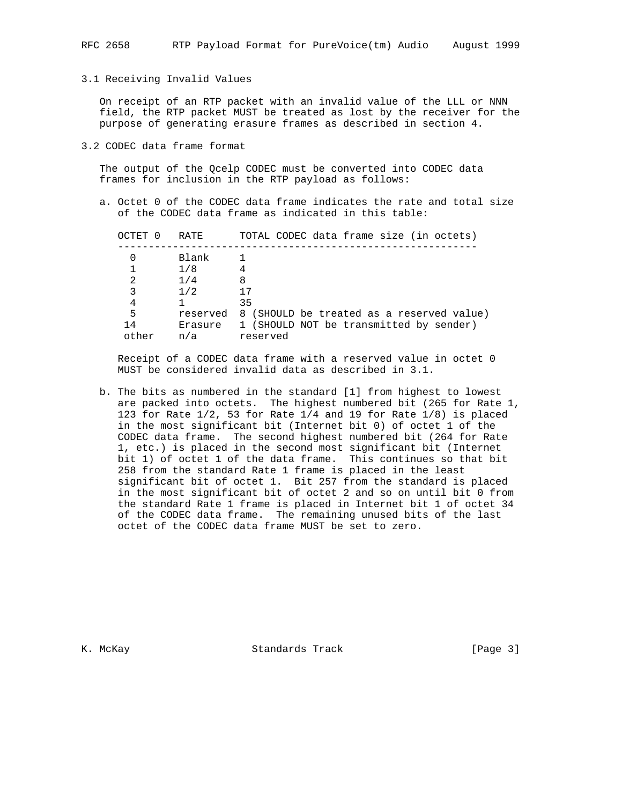# 3.1 Receiving Invalid Values

 On receipt of an RTP packet with an invalid value of the LLL or NNN field, the RTP packet MUST be treated as lost by the receiver for the purpose of generating erasure frames as described in section 4.

3.2 CODEC data frame format

 The output of the Qcelp CODEC must be converted into CODEC data frames for inclusion in the RTP payload as follows:

 a. Octet 0 of the CODEC data frame indicates the rate and total size of the CODEC data frame as indicated in this table:

| OCTET 0 | RATE    | TOTAL CODEC data frame size (in octets)            |
|---------|---------|----------------------------------------------------|
|         | Blank   |                                                    |
|         | 1/8     | 4                                                  |
| 2       | 1/4     | 8                                                  |
| 3       | 1/2     | 17                                                 |
| 4       |         | 35                                                 |
| 5       |         | reserved 8 (SHOULD be treated as a reserved value) |
| 14      | Erasure | 1 (SHOULD NOT be transmitted by sender)            |
| other   | n/a     | reserved                                           |
|         |         |                                                    |

 Receipt of a CODEC data frame with a reserved value in octet 0 MUST be considered invalid data as described in 3.1.

 b. The bits as numbered in the standard [1] from highest to lowest are packed into octets. The highest numbered bit (265 for Rate 1, 123 for Rate 1/2, 53 for Rate 1/4 and 19 for Rate 1/8) is placed in the most significant bit (Internet bit 0) of octet 1 of the CODEC data frame. The second highest numbered bit (264 for Rate 1, etc.) is placed in the second most significant bit (Internet bit 1) of octet 1 of the data frame. This continues so that bit 258 from the standard Rate 1 frame is placed in the least significant bit of octet 1. Bit 257 from the standard is placed in the most significant bit of octet 2 and so on until bit 0 from the standard Rate 1 frame is placed in Internet bit 1 of octet 34 of the CODEC data frame. The remaining unused bits of the last octet of the CODEC data frame MUST be set to zero.

K. McKay Standards Track [Page 3]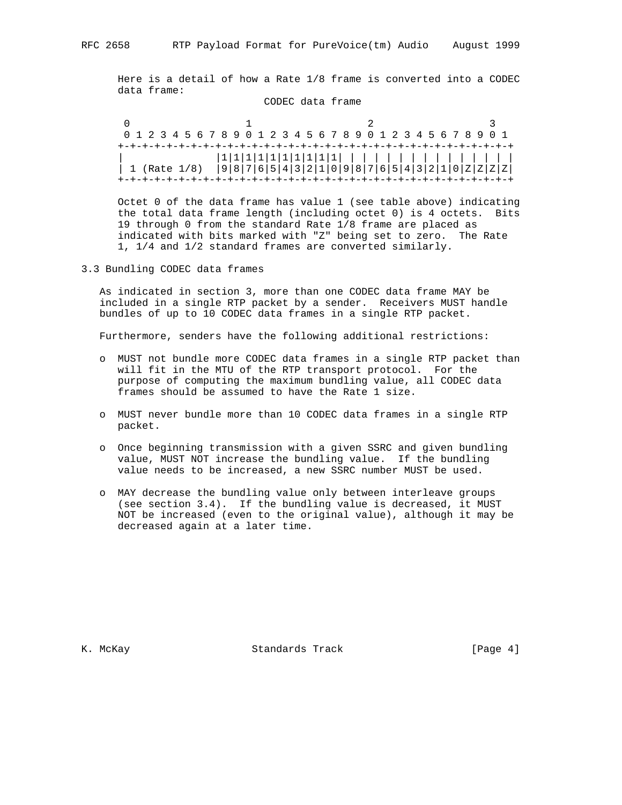Here is a detail of how a Rate 1/8 frame is converted into a CODEC data frame:

CODEC data frame

|  |  |  | 0 1 2 3 4 5 6 7 8 9 0 1 2 3 4 5 6 7 8 9 0 1 2 3 4 5 6 7 8 9 0 1  |  |  |  |  |  |  |  |  |  |  |  |
|--|--|--|------------------------------------------------------------------|--|--|--|--|--|--|--|--|--|--|--|
|  |  |  |                                                                  |  |  |  |  |  |  |  |  |  |  |  |
|  |  |  |                                                                  |  |  |  |  |  |  |  |  |  |  |  |
|  |  |  | 1 (Rate 1/8) $ 9 8 7 6 5 4 3 2 1 0 9 8 7 6 5 4 3 2 1 0 2 2 2 2 $ |  |  |  |  |  |  |  |  |  |  |  |
|  |  |  |                                                                  |  |  |  |  |  |  |  |  |  |  |  |

 Octet 0 of the data frame has value 1 (see table above) indicating the total data frame length (including octet 0) is 4 octets. Bits 19 through 0 from the standard Rate 1/8 frame are placed as indicated with bits marked with "Z" being set to zero. The Rate 1, 1/4 and 1/2 standard frames are converted similarly.

3.3 Bundling CODEC data frames

 As indicated in section 3, more than one CODEC data frame MAY be included in a single RTP packet by a sender. Receivers MUST handle bundles of up to 10 CODEC data frames in a single RTP packet.

Furthermore, senders have the following additional restrictions:

- o MUST not bundle more CODEC data frames in a single RTP packet than will fit in the MTU of the RTP transport protocol. For the purpose of computing the maximum bundling value, all CODEC data frames should be assumed to have the Rate 1 size.
- o MUST never bundle more than 10 CODEC data frames in a single RTP packet.
- o Once beginning transmission with a given SSRC and given bundling value, MUST NOT increase the bundling value. If the bundling value needs to be increased, a new SSRC number MUST be used.
- o MAY decrease the bundling value only between interleave groups (see section 3.4). If the bundling value is decreased, it MUST NOT be increased (even to the original value), although it may be decreased again at a later time.

K. McKay Standards Track [Page 4]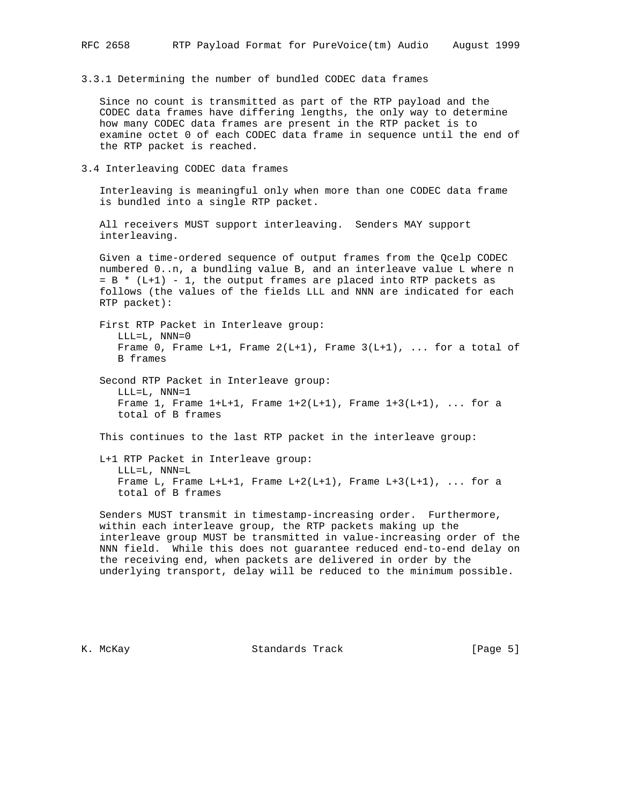3.3.1 Determining the number of bundled CODEC data frames

 Since no count is transmitted as part of the RTP payload and the CODEC data frames have differing lengths, the only way to determine how many CODEC data frames are present in the RTP packet is to examine octet 0 of each CODEC data frame in sequence until the end of the RTP packet is reached.

3.4 Interleaving CODEC data frames

 Interleaving is meaningful only when more than one CODEC data frame is bundled into a single RTP packet.

 All receivers MUST support interleaving. Senders MAY support interleaving.

 Given a time-ordered sequence of output frames from the Qcelp CODEC numbered 0..n, a bundling value B, and an interleave value L where n = B \* (L+1) - 1, the output frames are placed into RTP packets as follows (the values of the fields LLL and NNN are indicated for each RTP packet):

 First RTP Packet in Interleave group: LLL=L, NNN=0 Frame 0, Frame L+1, Frame  $2(L+1)$ , Frame  $3(L+1)$ , ... for a total of B frames

 Second RTP Packet in Interleave group: LLL=L, NNN=1 Frame 1, Frame  $1+L+1$ , Frame  $1+2(L+1)$ , Frame  $1+3(L+1)$ , ... for a total of B frames

This continues to the last RTP packet in the interleave group:

 L+1 RTP Packet in Interleave group: LLL=L, NNN=L Frame L, Frame L+L+1, Frame L+2(L+1), Frame L+3(L+1), ... for a total of B frames

 Senders MUST transmit in timestamp-increasing order. Furthermore, within each interleave group, the RTP packets making up the interleave group MUST be transmitted in value-increasing order of the NNN field. While this does not guarantee reduced end-to-end delay on the receiving end, when packets are delivered in order by the underlying transport, delay will be reduced to the minimum possible.

K. McKay Standards Track [Page 5]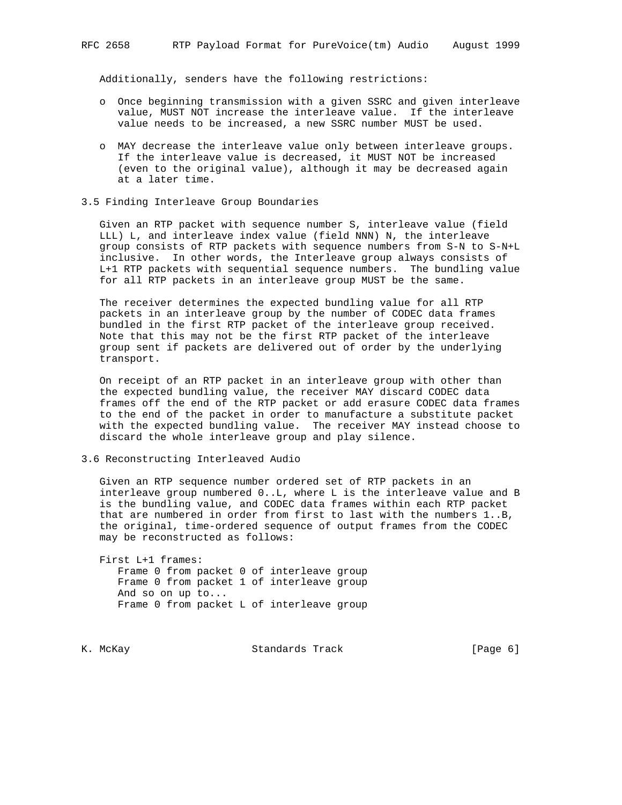Additionally, senders have the following restrictions:

- o Once beginning transmission with a given SSRC and given interleave value, MUST NOT increase the interleave value. If the interleave value needs to be increased, a new SSRC number MUST be used.
- o MAY decrease the interleave value only between interleave groups. If the interleave value is decreased, it MUST NOT be increased (even to the original value), although it may be decreased again at a later time.
- 3.5 Finding Interleave Group Boundaries

 Given an RTP packet with sequence number S, interleave value (field LLL) L, and interleave index value (field NNN) N, the interleave group consists of RTP packets with sequence numbers from S-N to S-N+L inclusive. In other words, the Interleave group always consists of L+1 RTP packets with sequential sequence numbers. The bundling value for all RTP packets in an interleave group MUST be the same.

 The receiver determines the expected bundling value for all RTP packets in an interleave group by the number of CODEC data frames bundled in the first RTP packet of the interleave group received. Note that this may not be the first RTP packet of the interleave group sent if packets are delivered out of order by the underlying transport.

 On receipt of an RTP packet in an interleave group with other than the expected bundling value, the receiver MAY discard CODEC data frames off the end of the RTP packet or add erasure CODEC data frames to the end of the packet in order to manufacture a substitute packet with the expected bundling value. The receiver MAY instead choose to discard the whole interleave group and play silence.

3.6 Reconstructing Interleaved Audio

 Given an RTP sequence number ordered set of RTP packets in an interleave group numbered 0..L, where L is the interleave value and B is the bundling value, and CODEC data frames within each RTP packet that are numbered in order from first to last with the numbers 1..B, the original, time-ordered sequence of output frames from the CODEC may be reconstructed as follows:

 First L+1 frames: Frame 0 from packet 0 of interleave group Frame 0 from packet 1 of interleave group And so on up to... Frame 0 from packet L of interleave group

K. McKay Chamber Standards Track Chamber (Page 6)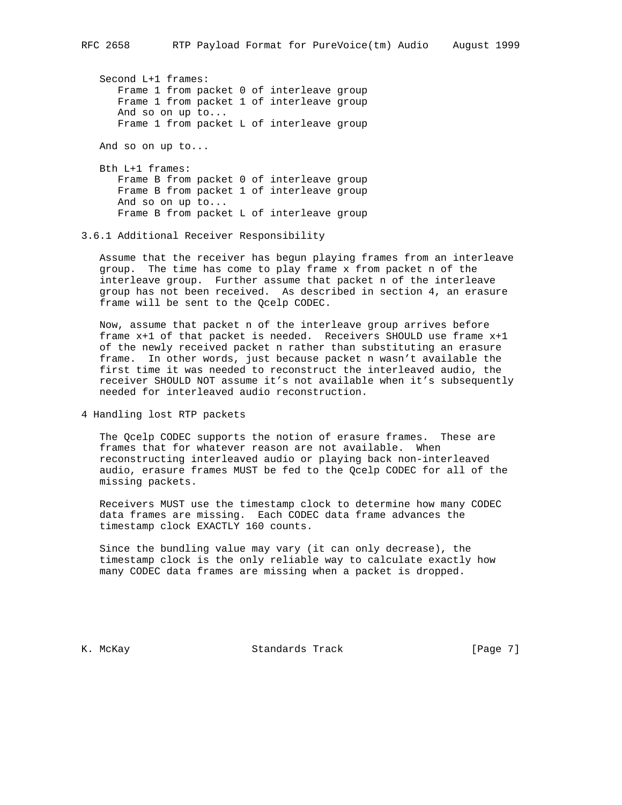Second L+1 frames: Frame 1 from packet 0 of interleave group Frame 1 from packet 1 of interleave group And so on up to... Frame 1 from packet L of interleave group

And so on up to...

 Bth L+1 frames: Frame B from packet 0 of interleave group Frame B from packet 1 of interleave group And so on up to... Frame B from packet L of interleave group

### 3.6.1 Additional Receiver Responsibility

 Assume that the receiver has begun playing frames from an interleave group. The time has come to play frame x from packet n of the interleave group. Further assume that packet n of the interleave group has not been received. As described in section 4, an erasure frame will be sent to the Qcelp CODEC.

 Now, assume that packet n of the interleave group arrives before frame x+1 of that packet is needed. Receivers SHOULD use frame x+1 of the newly received packet n rather than substituting an erasure frame. In other words, just because packet n wasn't available the first time it was needed to reconstruct the interleaved audio, the receiver SHOULD NOT assume it's not available when it's subsequently needed for interleaved audio reconstruction.

4 Handling lost RTP packets

 The Qcelp CODEC supports the notion of erasure frames. These are frames that for whatever reason are not available. When reconstructing interleaved audio or playing back non-interleaved audio, erasure frames MUST be fed to the Qcelp CODEC for all of the missing packets.

 Receivers MUST use the timestamp clock to determine how many CODEC data frames are missing. Each CODEC data frame advances the timestamp clock EXACTLY 160 counts.

 Since the bundling value may vary (it can only decrease), the timestamp clock is the only reliable way to calculate exactly how many CODEC data frames are missing when a packet is dropped.

K. McKay Standards Track [Page 7]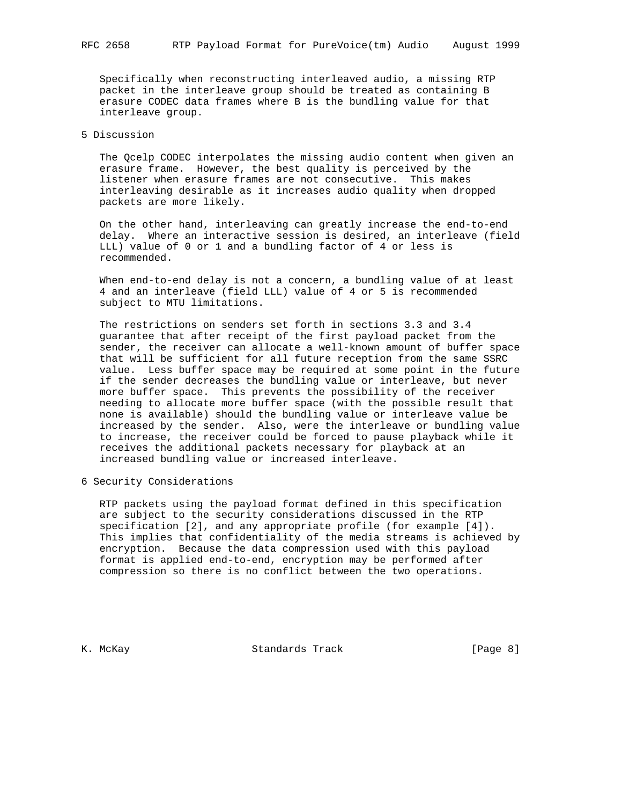Specifically when reconstructing interleaved audio, a missing RTP packet in the interleave group should be treated as containing B erasure CODEC data frames where B is the bundling value for that interleave group.

## 5 Discussion

 The Qcelp CODEC interpolates the missing audio content when given an erasure frame. However, the best quality is perceived by the listener when erasure frames are not consecutive. This makes interleaving desirable as it increases audio quality when dropped packets are more likely.

 On the other hand, interleaving can greatly increase the end-to-end delay. Where an interactive session is desired, an interleave (field LLL) value of 0 or 1 and a bundling factor of 4 or less is recommended.

 When end-to-end delay is not a concern, a bundling value of at least 4 and an interleave (field LLL) value of 4 or 5 is recommended subject to MTU limitations.

 The restrictions on senders set forth in sections 3.3 and 3.4 guarantee that after receipt of the first payload packet from the sender, the receiver can allocate a well-known amount of buffer space that will be sufficient for all future reception from the same SSRC value. Less buffer space may be required at some point in the future if the sender decreases the bundling value or interleave, but never more buffer space. This prevents the possibility of the receiver needing to allocate more buffer space (with the possible result that none is available) should the bundling value or interleave value be increased by the sender. Also, were the interleave or bundling value to increase, the receiver could be forced to pause playback while it receives the additional packets necessary for playback at an increased bundling value or increased interleave.

6 Security Considerations

 RTP packets using the payload format defined in this specification are subject to the security considerations discussed in the RTP specification [2], and any appropriate profile (for example [4]). This implies that confidentiality of the media streams is achieved by encryption. Because the data compression used with this payload format is applied end-to-end, encryption may be performed after compression so there is no conflict between the two operations.

K. McKay Standards Track [Page 8]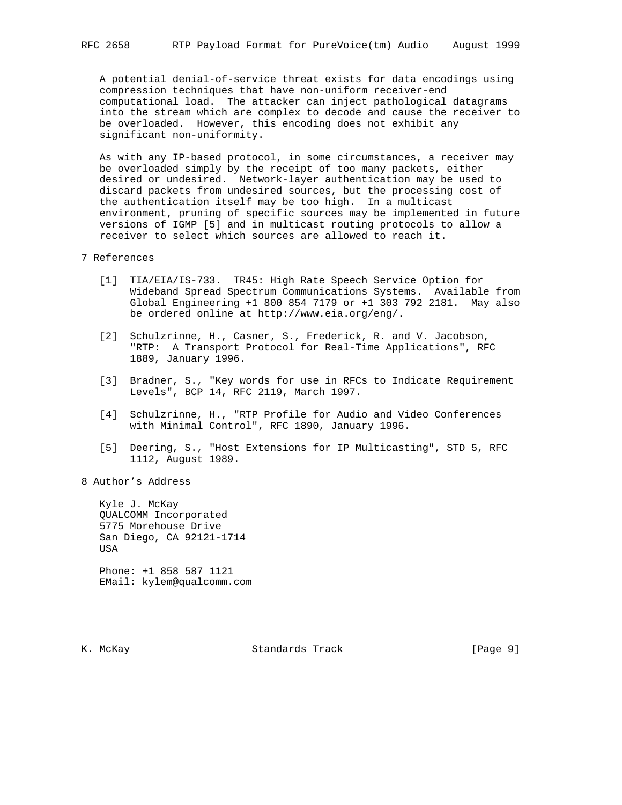A potential denial-of-service threat exists for data encodings using compression techniques that have non-uniform receiver-end computational load. The attacker can inject pathological datagrams into the stream which are complex to decode and cause the receiver to be overloaded. However, this encoding does not exhibit any significant non-uniformity.

 As with any IP-based protocol, in some circumstances, a receiver may be overloaded simply by the receipt of too many packets, either desired or undesired. Network-layer authentication may be used to discard packets from undesired sources, but the processing cost of the authentication itself may be too high. In a multicast environment, pruning of specific sources may be implemented in future versions of IGMP [5] and in multicast routing protocols to allow a receiver to select which sources are allowed to reach it.

## 7 References

- [1] TIA/EIA/IS-733. TR45: High Rate Speech Service Option for Wideband Spread Spectrum Communications Systems. Available from Global Engineering +1 800 854 7179 or +1 303 792 2181. May also be ordered online at http://www.eia.org/eng/.
- [2] Schulzrinne, H., Casner, S., Frederick, R. and V. Jacobson, "RTP: A Transport Protocol for Real-Time Applications", RFC 1889, January 1996.
- [3] Bradner, S., "Key words for use in RFCs to Indicate Requirement Levels", BCP 14, RFC 2119, March 1997.
- [4] Schulzrinne, H., "RTP Profile for Audio and Video Conferences with Minimal Control", RFC 1890, January 1996.
- [5] Deering, S., "Host Extensions for IP Multicasting", STD 5, RFC 1112, August 1989.
- 8 Author's Address

 Kyle J. McKay QUALCOMM Incorporated 5775 Morehouse Drive San Diego, CA 92121-1714 USA

 Phone: +1 858 587 1121 EMail: kylem@qualcomm.com

K. McKay Standards Track [Page 9]